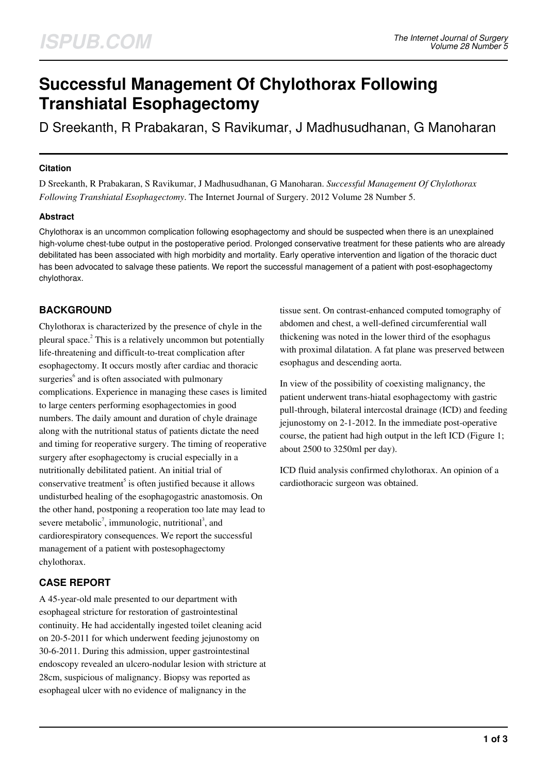# **Successful Management Of Chylothorax Following Transhiatal Esophagectomy**

D Sreekanth, R Prabakaran, S Ravikumar, J Madhusudhanan, G Manoharan

### **Citation**

D Sreekanth, R Prabakaran, S Ravikumar, J Madhusudhanan, G Manoharan. *Successful Management Of Chylothorax Following Transhiatal Esophagectomy*. The Internet Journal of Surgery. 2012 Volume 28 Number 5.

## **Abstract**

Chylothorax is an uncommon complication following esophagectomy and should be suspected when there is an unexplained high-volume chest-tube output in the postoperative period. Prolonged conservative treatment for these patients who are already debilitated has been associated with high morbidity and mortality. Early operative intervention and ligation of the thoracic duct has been advocated to salvage these patients. We report the successful management of a patient with post-esophagectomy chylothorax.

# **BACKGROUND**

Chylothorax is characterized by the presence of chyle in the pleural space.<sup>2</sup> This is a relatively uncommon but potentially life-threatening and difficult-to-treat complication after esophagectomy. It occurs mostly after cardiac and thoracic surgeries<sup>6</sup> and is often associated with pulmonary complications. Experience in managing these cases is limited to large centers performing esophagectomies in good numbers. The daily amount and duration of chyle drainage along with the nutritional status of patients dictate the need and timing for reoperative surgery. The timing of reoperative surgery after esophagectomy is crucial especially in a nutritionally debilitated patient. An initial trial of conservative treatment<sup>5</sup> is often justified because it allows undisturbed healing of the esophagogastric anastomosis. On the other hand, postponing a reoperation too late may lead to severe metabolic<sup>7</sup>, immunologic, nutritional<sup>3</sup>, and cardiorespiratory consequences. We report the successful management of a patient with postesophagectomy chylothorax.

# **CASE REPORT**

A 45-year-old male presented to our department with esophageal stricture for restoration of gastrointestinal continuity. He had accidentally ingested toilet cleaning acid on 20-5-2011 for which underwent feeding jejunostomy on 30-6-2011. During this admission, upper gastrointestinal endoscopy revealed an ulcero-nodular lesion with stricture at 28cm, suspicious of malignancy. Biopsy was reported as esophageal ulcer with no evidence of malignancy in the

tissue sent. On contrast-enhanced computed tomography of abdomen and chest, a well-defined circumferential wall thickening was noted in the lower third of the esophagus with proximal dilatation. A fat plane was preserved between esophagus and descending aorta.

In view of the possibility of coexisting malignancy, the patient underwent trans-hiatal esophagectomy with gastric pull-through, bilateral intercostal drainage (ICD) and feeding jejunostomy on 2-1-2012. In the immediate post-operative course, the patient had high output in the left ICD (Figure 1; about 2500 to 3250ml per day).

ICD fluid analysis confirmed chylothorax. An opinion of a cardiothoracic surgeon was obtained.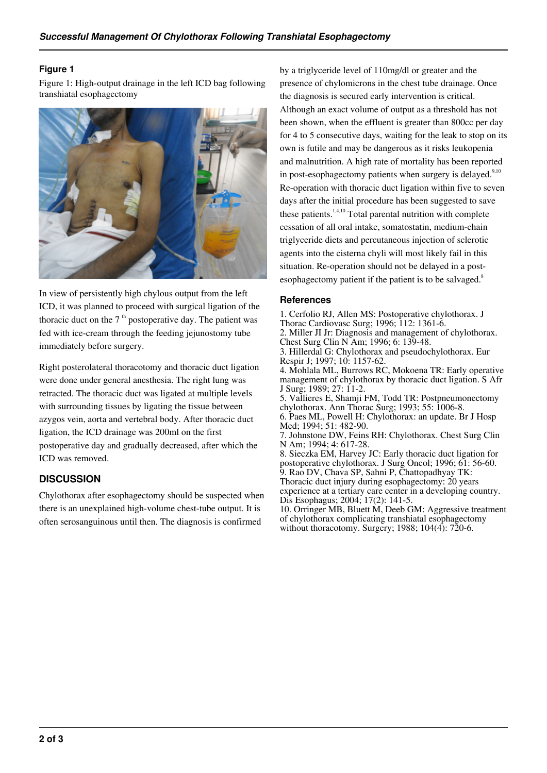#### **Figure 1**

Figure 1: High-output drainage in the left ICD bag following transhiatal esophagectomy



In view of persistently high chylous output from the left ICD, it was planned to proceed with surgical ligation of the thoracic duct on the  $7<sup>th</sup>$  postoperative day. The patient was fed with ice-cream through the feeding jejunostomy tube immediately before surgery.

Right posterolateral thoracotomy and thoracic duct ligation were done under general anesthesia. The right lung was retracted. The thoracic duct was ligated at multiple levels with surrounding tissues by ligating the tissue between azygos vein, aorta and vertebral body. After thoracic duct ligation, the ICD drainage was 200ml on the first postoperative day and gradually decreased, after which the ICD was removed.

## **DISCUSSION**

Chylothorax after esophagectomy should be suspected when there is an unexplained high-volume chest-tube output. It is often serosanguinous until then. The diagnosis is confirmed

by a triglyceride level of 110mg/dl or greater and the presence of chylomicrons in the chest tube drainage. Once the diagnosis is secured early intervention is critical. Although an exact volume of output as a threshold has not been shown, when the effluent is greater than 800cc per day for 4 to 5 consecutive days, waiting for the leak to stop on its own is futile and may be dangerous as it risks leukopenia and malnutrition. A high rate of mortality has been reported in post-esophagectomy patients when surgery is delayed. $9,10$ Re-operation with thoracic duct ligation within five to seven days after the initial procedure has been suggested to save these patients. $1,4,10$  Total parental nutrition with complete cessation of all oral intake, somatostatin, medium-chain triglyceride diets and percutaneous injection of sclerotic agents into the cisterna chyli will most likely fail in this situation. Re-operation should not be delayed in a postesophagectomy patient if the patient is to be salvaged. $8$ 

#### **References**

1. Cerfolio RJ, Allen MS: Postoperative chylothorax. J Thorac Cardiovasc Surg; 1996; 112: 1361-6. 2. Miller JI Jr: Diagnosis and management of chylothorax. Chest Surg Clin N Am; 1996; 6: 139-48. 3. Hillerdal G: Chylothorax and pseudochylothorax. Eur Respir J; 1997; 10: 1157-62. 4. Mohlala ML, Burrows RC, Mokoena TR: Early operative management of chylothorax by thoracic duct ligation. S Afr J Surg; 1989; 27: 11-2. 5. Vallieres E, Shamji FM, Todd TR: Postpneumonectomy chylothorax. Ann Thorac Surg; 1993; 55: 1006-8. 6. Paes ML, Powell H: Chylothorax: an update. Br J Hosp Med; 1994; 51: 482-90. 7. Johnstone DW, Feins RH: Chylothorax. Chest Surg Clin N Am; 1994; 4: 617-28. 8. Sieczka EM, Harvey JC: Early thoracic duct ligation for postoperative chylothorax. J Surg Oncol; 1996; 61: 56-60. 9. Rao DV, Chava SP, Sahni P, Chattopadhyay TK: Thoracic duct injury during esophagectomy: 20 years experience at a tertiary care center in a developing country. Dis Esophagus; 2004; 17(2): 141-5. 10. Orringer MB, Bluett M, Deeb GM: Aggressive treatment of chylothorax complicating transhiatal esophagectomy without thoracotomy. Surgery; 1988; 104(4): 720-6.